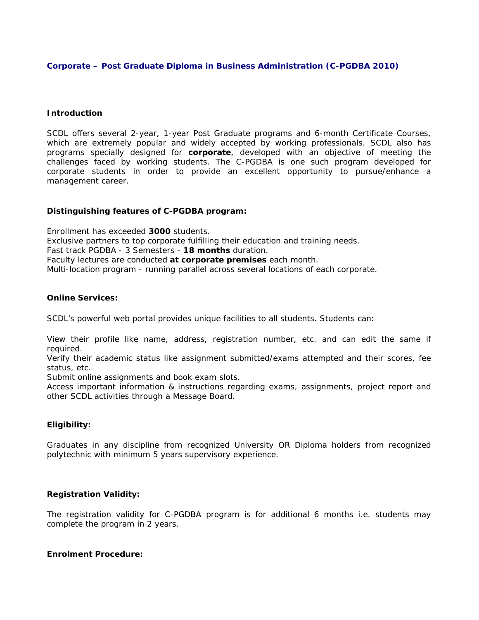### **Corporate – Post Graduate Diploma in Business Administration (C-PGDBA 2010)**

### **Introduction**

SCDL offers several 2-year, 1-year Post Graduate programs and 6-month Certificate Courses, which are extremely popular and widely accepted by working professionals. SCDL also has programs specially designed for **corporate**, developed with an objective of meeting the challenges faced by working students. The C-PGDBA is one such program developed for corporate students in order to provide an excellent opportunity to pursue/enhance a management career.

# **Distinguishing features of C-PGDBA program:**

Enrollment has exceeded **3000** students. Exclusive partners to top corporate fulfilling their education and training needs. Fast track PGDBA - 3 Semesters - **18 months** duration. Faculty lectures are conducted **at corporate premises** each month. Multi-location program - running parallel across several locations of each corporate.

#### **Online Services:**

SCDL's powerful web portal provides unique facilities to all students. Students can:

View their profile like name, address, registration number, etc. and can edit the same if required.

Verify their academic status like assignment submitted/exams attempted and their scores, fee status, etc.

Submit online assignments and book exam slots.

Access important information & instructions regarding exams, assignments, project report and other SCDL activities through a Message Board.

# **Eligibility:**

Graduates in any discipline from recognized University OR Diploma holders from recognized polytechnic with minimum 5 years supervisory experience.

#### **Registration Validity:**

The registration validity for C-PGDBA program is for additional 6 months i.e. students may complete the program in 2 years.

#### **Enrolment Procedure:**